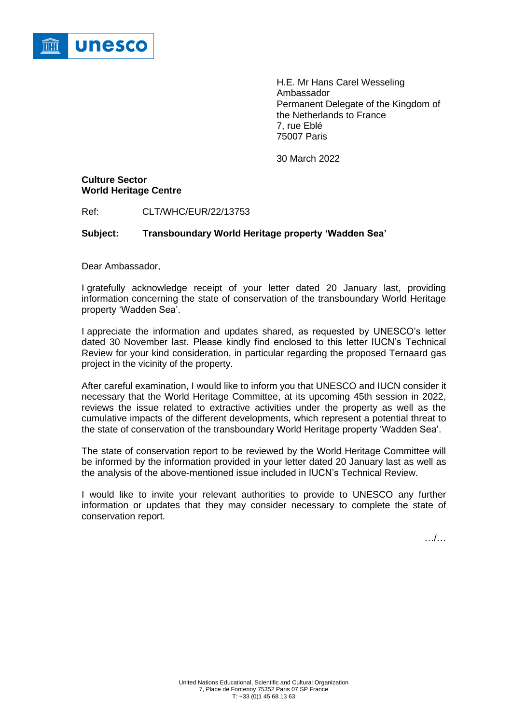

H.E. Mr Hans Carel Wesseling Ambassador Permanent Delegate of the Kingdom of the Netherlands to France 7, rue Eblé 75007 Paris

30 March 2022

# **Culture Sector World Heritage Centre**

Ref: CLT/WHC/EUR/22/13753

# **Subject: Transboundary World Heritage property 'Wadden Sea'**

Dear Ambassador,

I gratefully acknowledge receipt of your letter dated 20 January last, providing information concerning the state of conservation of the transboundary World Heritage property 'Wadden Sea'.

I appreciate the information and updates shared, as requested by UNESCO's letter dated 30 November last. Please kindly find enclosed to this letter IUCN's Technical Review for your kind consideration, in particular regarding the proposed Ternaard gas project in the vicinity of the property.

After careful examination, I would like to inform you that UNESCO and IUCN consider it necessary that the World Heritage Committee, at its upcoming 45th session in 2022, reviews the issue related to extractive activities under the property as well as the cumulative impacts of the different developments, which represent a potential threat to the state of conservation of the transboundary World Heritage property 'Wadden Sea'.

The state of conservation report to be reviewed by the World Heritage Committee will be informed by the information provided in your letter dated 20 January last as well as the analysis of the above-mentioned issue included in IUCN's Technical Review.

I would like to invite your relevant authorities to provide to UNESCO any further information or updates that they may consider necessary to complete the state of conservation report.

…/…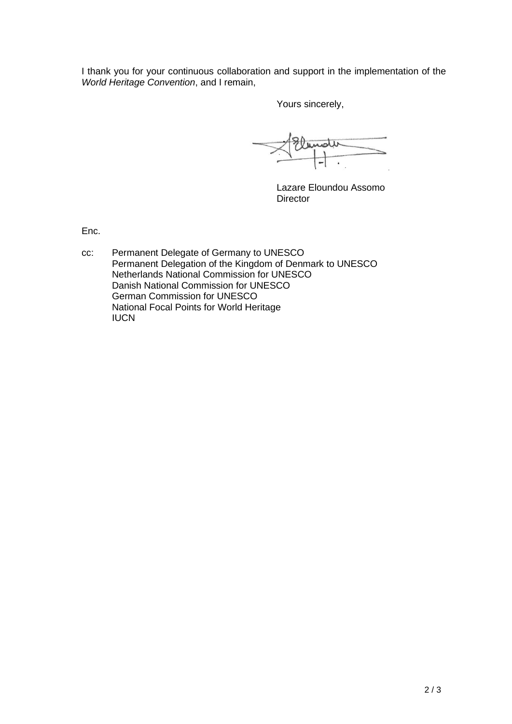I thank you for your continuous collaboration and support in the implementation of the *World Heritage Convention*, and I remain,

Yours sincerely,

Lazare Eloundou Assomo **Director** 

Enc.

cc: Permanent Delegate of Germany to UNESCO Permanent Delegation of the Kingdom of Denmark to UNESCO Netherlands National Commission for UNESCO Danish National Commission for UNESCO German Commission for UNESCO National Focal Points for World Heritage IUCN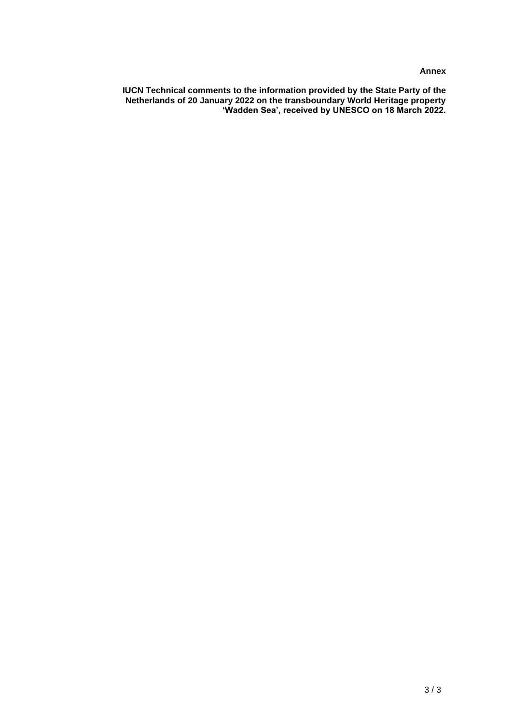## **Annex**

**IUCN Technical comments to the information provided by the State Party of the Netherlands of 20 January 2022 on the transboundary World Heritage property 'Wadden Sea', received by UNESCO on 18 March 2022.**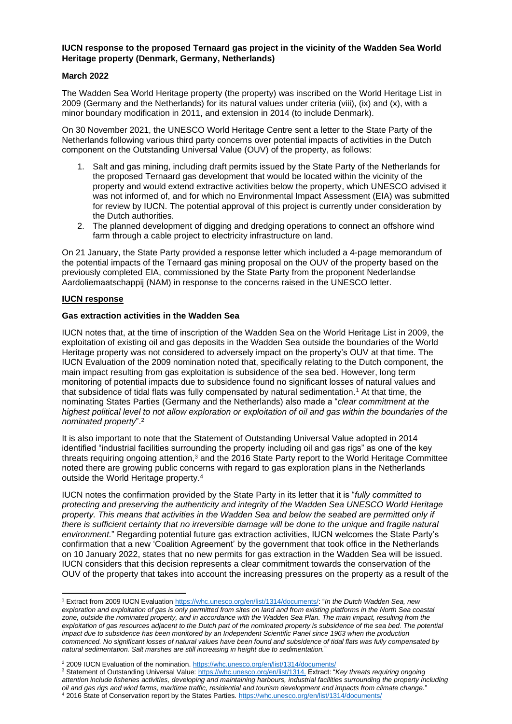### **IUCN response to the proposed Ternaard gas project in the vicinity of the Wadden Sea World Heritage property (Denmark, Germany, Netherlands)**

#### **March 2022**

The Wadden Sea World Heritage property (the property) was inscribed on the World Heritage List in 2009 (Germany and the Netherlands) for its natural values under criteria (viii), (ix) and (x), with a minor boundary modification in 2011, and extension in 2014 (to include Denmark).

On 30 November 2021, the UNESCO World Heritage Centre sent a letter to the State Party of the Netherlands following various third party concerns over potential impacts of activities in the Dutch component on the Outstanding Universal Value (OUV) of the property, as follows:

- 1. Salt and gas mining, including draft permits issued by the State Party of the Netherlands for the proposed Ternaard gas development that would be located within the vicinity of the property and would extend extractive activities below the property, which UNESCO advised it was not informed of, and for which no Environmental Impact Assessment (EIA) was submitted for review by IUCN. The potential approval of this project is currently under consideration by the Dutch authorities.
- 2. The planned development of digging and dredging operations to connect an offshore wind farm through a cable project to electricity infrastructure on land.

On 21 January, the State Party provided a response letter which included a 4-page memorandum of the potential impacts of the Ternaard gas mining proposal on the OUV of the property based on the previously completed EIA, commissioned by the State Party from the proponent Nederlandse Aardoliemaatschappij (NAM) in response to the concerns raised in the UNESCO letter.

## **IUCN response**

### **Gas extraction activities in the Wadden Sea**

IUCN notes that, at the time of inscription of the Wadden Sea on the World Heritage List in 2009, the exploitation of existing oil and gas deposits in the Wadden Sea outside the boundaries of the World Heritage property was not considered to adversely impact on the property's OUV at that time. The IUCN Evaluation of the 2009 nomination noted that, specifically relating to the Dutch component, the main impact resulting from gas exploitation is subsidence of the sea bed. However, long term monitoring of potential impacts due to subsidence found no significant losses of natural values and that subsidence of tidal flats was fully compensated by natural sedimentation.<sup>1</sup> At that time, the nominating States Parties (Germany and the Netherlands) also made a "*clear commitment at the highest political level to not allow exploration or exploitation of oil and gas within the boundaries of the nominated property*". 2

It is also important to note that the Statement of Outstanding Universal Value adopted in 2014 identified "industrial facilities surrounding the property including oil and gas rigs" as one of the key threats requiring ongoing attention,<sup>3</sup> and the 2016 State Party report to the World Heritage Committee noted there are growing public concerns with regard to gas exploration plans in the Netherlands outside the World Heritage property.<sup>4</sup>

IUCN notes the confirmation provided by the State Party in its letter that it is "*fully committed to protecting and preserving the authenticity and integrity of the Wadden Sea UNESCO World Heritage property. This means that activities in the Wadden Sea and below the seabed are permitted only if there is sufficient certainty that no irreversible damage will be done to the unique and fragile natural environment.*" Regarding potential future gas extraction activities, IUCN welcomes the State Party's confirmation that a new 'Coalition Agreement' by the government that took office in the Netherlands on 10 January 2022, states that no new permits for gas extraction in the Wadden Sea will be issued. IUCN considers that this decision represents a clear commitment towards the conservation of the OUV of the property that takes into account the increasing pressures on the property as a result of the

<sup>1</sup> Extract from 2009 IUCN Evaluatio[n https://whc.unesco.org/en/list/1314/documents/:](https://whc.unesco.org/en/list/1314/documents/) "*In the Dutch Wadden Sea, new exploration and exploitation of gas is only permitted from sites on land and from existing platforms in the North Sea coastal*  zone, outside the nominated property, and in accordance with the Wadden Sea Plan. The main impact, resulting from the *exploitation of gas resources adjacent to the Dutch part of the nominated property is subsidence of the sea bed. The potential*  impact due to subsidence has been monitored by an Independent Scientific Panel since 1963 when the production *commenced. No significant losses of natural values have been found and subsidence of tidal flats was fully compensated by natural sedimentation. Salt marshes are still increasing in height due to sedimentation.*"

<sup>&</sup>lt;sup>2</sup> 2009 IUCN Evaluation of the nomination[. https://whc.unesco.org/en/list/1314/documents/](https://whc.unesco.org/en/list/1314/documents/)

<sup>3</sup> Statement of Outstanding Universal Value[: https://whc.unesco.org/en/list/1314.](https://whc.unesco.org/en/list/1314) Extract: "*Key threats requiring ongoing attention include fisheries activities, developing and maintaining harbours, industrial facilities surrounding the property including oil and gas rigs and wind farms, maritime traffic, residential and tourism development and impacts from climate change.*" <sup>4</sup> 2016 State of Conservation report by the States Parties[. https://whc.unesco.org/en/list/1314/documents/](https://whc.unesco.org/en/list/1314/documents/)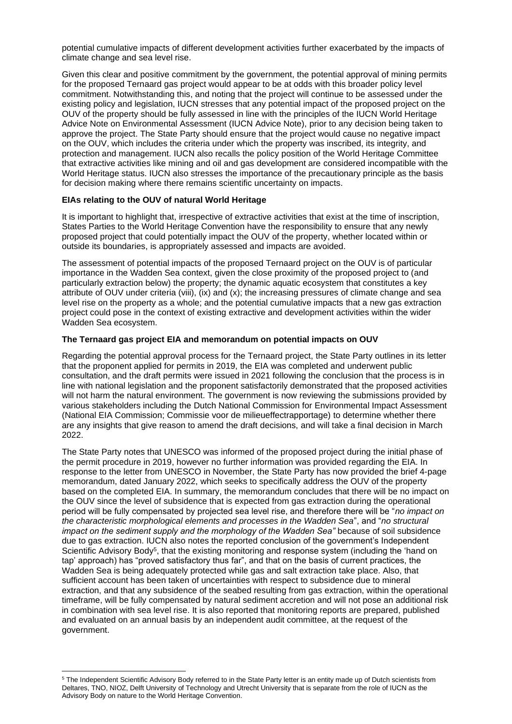potential cumulative impacts of different development activities further exacerbated by the impacts of climate change and sea level rise.

Given this clear and positive commitment by the government, the potential approval of mining permits for the proposed Ternaard gas project would appear to be at odds with this broader policy level commitment. Notwithstanding this, and noting that the project will continue to be assessed under the existing policy and legislation, IUCN stresses that any potential impact of the proposed project on the OUV of the property should be fully assessed in line with the principles of the IUCN World Heritage Advice Note on Environmental Assessment (IUCN Advice Note), prior to any decision being taken to approve the project. The State Party should ensure that the project would cause no negative impact on the OUV, which includes the criteria under which the property was inscribed, its integrity, and protection and management. IUCN also recalls the policy position of the World Heritage Committee that extractive activities like mining and oil and gas development are considered incompatible with the World Heritage status. IUCN also stresses the importance of the precautionary principle as the basis for decision making where there remains scientific uncertainty on impacts.

### **EIAs relating to the OUV of natural World Heritage**

It is important to highlight that, irrespective of extractive activities that exist at the time of inscription, States Parties to the World Heritage Convention have the responsibility to ensure that any newly proposed project that could potentially impact the OUV of the property, whether located within or outside its boundaries, is appropriately assessed and impacts are avoided.

The assessment of potential impacts of the proposed Ternaard project on the OUV is of particular importance in the Wadden Sea context, given the close proximity of the proposed project to (and particularly extraction below) the property; the dynamic aquatic ecosystem that constitutes a key attribute of OUV under criteria (viii), (ix) and (x); the increasing pressures of climate change and sea level rise on the property as a whole; and the potential cumulative impacts that a new gas extraction project could pose in the context of existing extractive and development activities within the wider Wadden Sea ecosystem.

### **The Ternaard gas project EIA and memorandum on potential impacts on OUV**

Regarding the potential approval process for the Ternaard project, the State Party outlines in its letter that the proponent applied for permits in 2019, the EIA was completed and underwent public consultation, and the draft permits were issued in 2021 following the conclusion that the process is in line with national legislation and the proponent satisfactorily demonstrated that the proposed activities will not harm the natural environment. The government is now reviewing the submissions provided by various stakeholders including the Dutch National Commission for Environmental Impact Assessment (National EIA Commission; Commissie voor de milieueffectrapportage) to determine whether there are any insights that give reason to amend the draft decisions, and will take a final decision in March 2022.

The State Party notes that UNESCO was informed of the proposed project during the initial phase of the permit procedure in 2019, however no further information was provided regarding the EIA. In response to the letter from UNESCO in November, the State Party has now provided the brief 4-page memorandum, dated January 2022, which seeks to specifically address the OUV of the property based on the completed EIA. In summary, the memorandum concludes that there will be no impact on the OUV since the level of subsidence that is expected from gas extraction during the operational period will be fully compensated by projected sea level rise, and therefore there will be "*no impact on the characteristic morphological elements and processes in the Wadden Sea*", and "*no structural impact on the sediment supply and the morphology of the Wadden Sea" because of soil subsidence* due to gas extraction. IUCN also notes the reported conclusion of the government's Independent Scientific Advisory Body<sup>5</sup>, that the existing monitoring and response system (including the 'hand on tap' approach) has "proved satisfactory thus far", and that on the basis of current practices, the Wadden Sea is being adequately protected while gas and salt extraction take place. Also, that sufficient account has been taken of uncertainties with respect to subsidence due to mineral extraction, and that any subsidence of the seabed resulting from gas extraction, within the operational timeframe, will be fully compensated by natural sediment accretion and will not pose an additional risk in combination with sea level rise. It is also reported that monitoring reports are prepared, published and evaluated on an annual basis by an independent audit committee, at the request of the government.

<sup>5</sup> The Independent Scientific Advisory Body referred to in the State Party letter is an entity made up of Dutch scientists from Deltares, TNO, NIOZ, Delft University of Technology and Utrecht University that is separate from the role of IUCN as the Advisory Body on nature to the World Heritage Convention.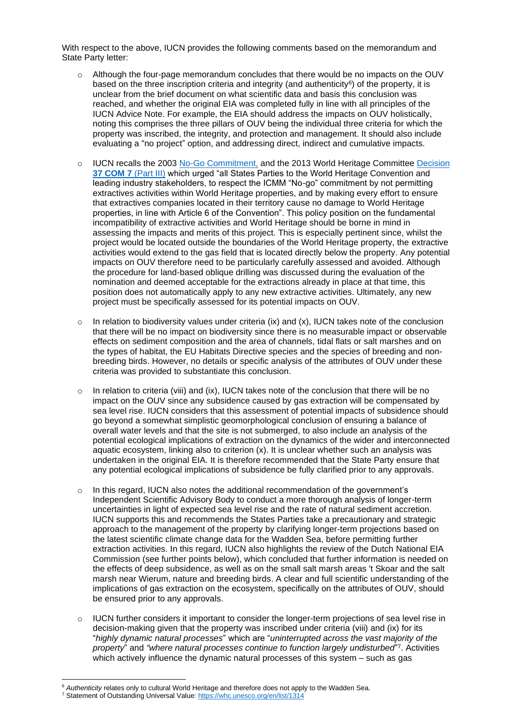With respect to the above, IUCN provides the following comments based on the memorandum and State Party letter:

- $\circ$  Although the four-page memorandum concludes that there would be no impacts on the OUV based on the three inscription criteria and integrity (and authenticity $^6$ ) of the property, it is unclear from the brief document on what scientific data and basis this conclusion was reached, and whether the original EIA was completed fully in line with all principles of the IUCN Advice Note. For example, the EIA should address the impacts on OUV holistically, noting this comprises the three pillars of OUV being the individual three criteria for which the property was inscribed, the integrity, and protection and management. It should also include evaluating a "no project" option, and addressing direct, indirect and cumulative impacts.
- o IUCN recalls the 2003 [No-Go Commitment,](https://whc.unesco.org/en/extractive-industries/) and the 2013 World Heritage Committee [Decision](https://whc.unesco.org/en/decisions/5018/) **[37 COM 7](https://whc.unesco.org/en/decisions/5018/)** (Part III) which urged "all States Parties to the World Heritage Convention and leading industry stakeholders, to respect the ICMM "No-go" commitment by not permitting extractives activities within World Heritage properties, and by making every effort to ensure that extractives companies located in their territory cause no damage to World Heritage properties, in line with Article 6 of the Convention". This policy position on the fundamental incompatibility of extractive activities and World Heritage should be borne in mind in assessing the impacts and merits of this project. This is especially pertinent since, whilst the project would be located outside the boundaries of the World Heritage property, the extractive activities would extend to the gas field that is located directly below the property. Any potential impacts on OUV therefore need to be particularly carefully assessed and avoided. Although the procedure for land-based oblique drilling was discussed during the evaluation of the nomination and deemed acceptable for the extractions already in place at that time, this position does not automatically apply to any new extractive activities. Ultimately, any new project must be specifically assessed for its potential impacts on OUV.
- $\circ$  In relation to biodiversity values under criteria (ix) and (x), IUCN takes note of the conclusion that there will be no impact on biodiversity since there is no measurable impact or observable effects on sediment composition and the area of channels, tidal flats or salt marshes and on the types of habitat, the EU Habitats Directive species and the species of breeding and nonbreeding birds. However, no details or specific analysis of the attributes of OUV under these criteria was provided to substantiate this conclusion.
- $\circ$  In relation to criteria (viii) and (ix), IUCN takes note of the conclusion that there will be no impact on the OUV since any subsidence caused by gas extraction will be compensated by sea level rise. IUCN considers that this assessment of potential impacts of subsidence should go beyond a somewhat simplistic geomorphological conclusion of ensuring a balance of overall water levels and that the site is not submerged, to also include an analysis of the potential ecological implications of extraction on the dynamics of the wider and interconnected aquatic ecosystem, linking also to criterion (x). It is unclear whether such an analysis was undertaken in the original EIA. It is therefore recommended that the State Party ensure that any potential ecological implications of subsidence be fully clarified prior to any approvals.
- $\circ$  In this regard, IUCN also notes the additional recommendation of the government's Independent Scientific Advisory Body to conduct a more thorough analysis of longer-term uncertainties in light of expected sea level rise and the rate of natural sediment accretion. IUCN supports this and recommends the States Parties take a precautionary and strategic approach to the management of the property by clarifying longer-term projections based on the latest scientific climate change data for the Wadden Sea, before permitting further extraction activities. In this regard, IUCN also highlights the review of the Dutch National EIA Commission (see further points below), which concluded that further information is needed on the effects of deep subsidence, as well as on the small salt marsh areas 't Skoar and the salt marsh near Wierum, nature and breeding birds. A clear and full scientific understanding of the implications of gas extraction on the ecosystem, specifically on the attributes of OUV, should be ensured prior to any approvals.
- $\circ$  IUCN further considers it important to consider the longer-term projections of sea level rise in decision-making given that the property was inscribed under criteria (viii) and (ix) for its "*highly dynamic natural processes*" which are "*uninterrupted across the vast majority of the property*" and *"where natural processes continue to function largely undisturbed*" 7 . Activities which actively influence the dynamic natural processes of this system – such as gas

<sup>6</sup> *Authenticity* relates only to cultural World Heritage and therefore does not apply to the Wadden Sea.

<sup>7</sup> Statement of Outstanding Universal Value[: https://whc.unesco.org/en/list/1314](https://whc.unesco.org/en/list/1314)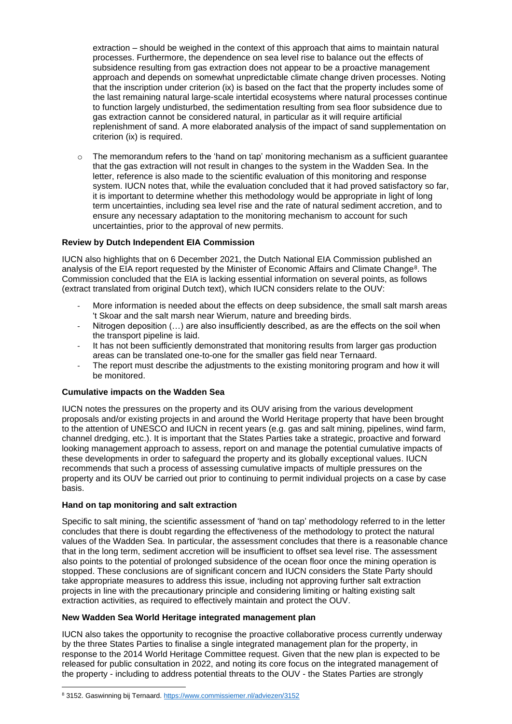extraction – should be weighed in the context of this approach that aims to maintain natural processes. Furthermore, the dependence on sea level rise to balance out the effects of subsidence resulting from gas extraction does not appear to be a proactive management approach and depends on somewhat unpredictable climate change driven processes. Noting that the inscription under criterion (ix) is based on the fact that the property includes some of the last remaining natural large-scale intertidal ecosystems where natural processes continue to function largely undisturbed, the sedimentation resulting from sea floor subsidence due to gas extraction cannot be considered natural, in particular as it will require artificial replenishment of sand. A more elaborated analysis of the impact of sand supplementation on criterion (ix) is required.

 $\circ$  The memorandum refers to the 'hand on tap' monitoring mechanism as a sufficient guarantee that the gas extraction will not result in changes to the system in the Wadden Sea. In the letter, reference is also made to the scientific evaluation of this monitoring and response system. IUCN notes that, while the evaluation concluded that it had proved satisfactory so far, it is important to determine whether this methodology would be appropriate in light of long term uncertainties, including sea level rise and the rate of natural sediment accretion, and to ensure any necessary adaptation to the monitoring mechanism to account for such uncertainties, prior to the approval of new permits.

### **Review by Dutch Independent EIA Commission**

IUCN also highlights that on 6 December 2021, the Dutch National EIA Commission published an analysis of the EIA report requested by the Minister of Economic Affairs and Climate Change<sup>8</sup>. The Commission concluded that the EIA is lacking essential information on several points, as follows (extract translated from original Dutch text), which IUCN considers relate to the OUV:

- More information is needed about the effects on deep subsidence, the small salt marsh areas 't Skoar and the salt marsh near Wierum, nature and breeding birds.
- Nitrogen deposition  $(...)$  are also insufficiently described, as are the effects on the soil when the transport pipeline is laid.
- It has not been sufficiently demonstrated that monitoring results from larger gas production areas can be translated one-to-one for the smaller gas field near Ternaard.
- The report must describe the adjustments to the existing monitoring program and how it will be monitored.

### **Cumulative impacts on the Wadden Sea**

IUCN notes the pressures on the property and its OUV arising from the various development proposals and/or existing projects in and around the World Heritage property that have been brought to the attention of UNESCO and IUCN in recent years (e.g. gas and salt mining, pipelines, wind farm, channel dredging, etc.). It is important that the States Parties take a strategic, proactive and forward looking management approach to assess, report on and manage the potential cumulative impacts of these developments in order to safeguard the property and its globally exceptional values. IUCN recommends that such a process of assessing cumulative impacts of multiple pressures on the property and its OUV be carried out prior to continuing to permit individual projects on a case by case basis.

#### **Hand on tap monitoring and salt extraction**

Specific to salt mining, the scientific assessment of 'hand on tap' methodology referred to in the letter concludes that there is doubt regarding the effectiveness of the methodology to protect the natural values of the Wadden Sea. In particular, the assessment concludes that there is a reasonable chance that in the long term, sediment accretion will be insufficient to offset sea level rise. The assessment also points to the potential of prolonged subsidence of the ocean floor once the mining operation is stopped. These conclusions are of significant concern and IUCN considers the State Party should take appropriate measures to address this issue, including not approving further salt extraction projects in line with the precautionary principle and considering limiting or halting existing salt extraction activities, as required to effectively maintain and protect the OUV.

#### **New Wadden Sea World Heritage integrated management plan**

IUCN also takes the opportunity to recognise the proactive collaborative process currently underway by the three States Parties to finalise a single integrated management plan for the property, in response to the 2014 World Heritage Committee request. Given that the new plan is expected to be released for public consultation in 2022, and noting its core focus on the integrated management of the property - including to address potential threats to the OUV - the States Parties are strongly

<sup>8 3152.</sup> Gaswinning bij Ternaard[. https://www.commissiemer.nl/adviezen/3152](https://www.commissiemer.nl/adviezen/3152)